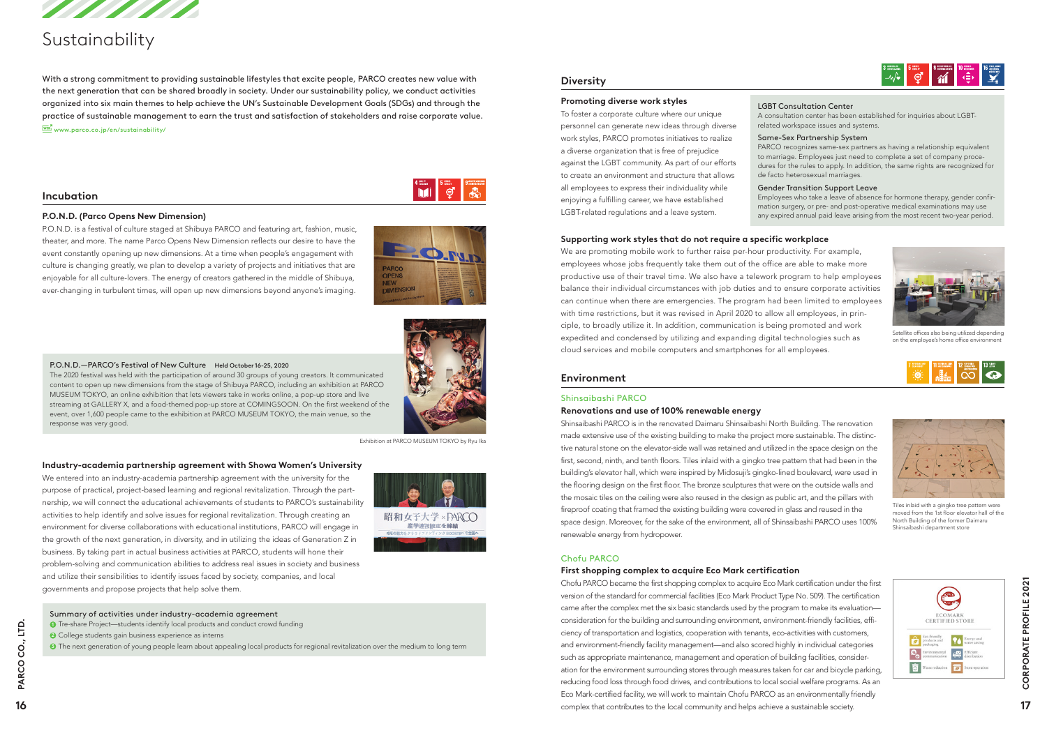P.O.N.D.—PARCO's Festival of New Culture Held October 16-25, 2020

The 2020 festival was held with the participation of around 30 groups of young creators. It communicated content to open up new dimensions from the stage of Shibuya PARCO, including an exhibition at PARCO MUSEUM TOKYO, an online exhibition that lets viewers take in works online, a pop-up store and live



event, over 1,600 people came to the exhibition at PARCO MUSEUM TOKYO, the main venue, so the

response was very good.

# **Environment**

#### Shinsaibashi PARCO

### **Renovations and use of 100% renewable energy**

Shinsaibashi PARCO is in the renovated Daimaru Shinsaibashi North Building. The renovation made extensive use of the existing building to make the project more sustainable. The distinctive natural stone on the elevator-side wall was retained and utilized in the space design on the first, second, ninth, and tenth floors. Tiles inlaid with a gingko tree pattern that had been in the building's elevator hall, which were inspired by Midosuji's gingko-lined boulevard, were used in the flooring design on the first floor. The bronze sculptures that were on the outside walls and the mosaic tiles on the ceiling were also reused in the design as public art, and the pillars with fireproof coating that framed the existing building were covered in glass and reused in the space design. Moreover, for the sake of the environment, all of Shinsaibashi PARCO uses 100% renewable energy from hydropower.

#### Chofu PARCO

# **First shopping complex to acquire Eco Mark certification**

We are promoting mobile work to further raise per-hour productivity. For example, employees whose jobs frequently take them out of the office are able to make more productive use of their travel time. We also have a telework program to help employees balance their individual circumstances with job duties and to ensure corporate activities can continue when there are emergencies. The program had been limited to employees with time restrictions, but it was revised in April 2020 to allow all employees, in principle, to broadly utilize it. In addition, communication is being promoted and work expedited and condensed by utilizing and expanding digital technologies such as cloud services and mobile computers and smartphones for all employees.

# **Diversity**

#### **Promoting diverse work styles**

With a strong commitment to providing sustainable lifestyles that excite people, PARCO creates new value with the next generation that can be shared broadly in society. Under our sustainability policy, we conduct activities organized into six main themes to help achieve the UN's Sustainable Development Goals (SDGs) and through the practice of sustainable management to earn the trust and satisfaction of stakeholders and raise corporate value.  $\overline{\mathbb{W}\mathbb{B}}^n_1$  www.parco.co.jp/en/sustainability/

To foster a corporate culture where our unique personnel can generate new ideas through diverse work styles, PARCO promotes initiatives to realize a diverse organization that is free of prejudice against the LGBT community. As part of our efforts to create an environment and structure that allows all employees to express their individuality while enjoying a fulfilling career, we have established LGBT-related regulations and a leave system.

## **Supporting work styles that do not require a specific workplace**

# **Incubation**

### **P.O.N.D. (Parco Opens New Dimension)**

P.O.N.D. is a festival of culture staged at Shibuya PARCO and featuring art, fashion, music, theater, and more. The name Parco Opens New Dimension reflects our desire to have the event constantly opening up new dimensions. At a time when people's engagement with culture is changing greatly, we plan to develop a variety of projects and initiatives that are enjoyable for all culture-lovers. The energy of creators gathered in the middle of Shibuya, ever-changing in turbulent times, will open up new dimensions beyond anyone's imaging.



 $\begin{array}{c|c|c|c|c} \hline \text{4 times} & \text{5 times} \\ \hline \text{5 times} & \text{6 times} \end{array}$ 

Chofu PARCO became the first shopping complex to acquire Eco Mark certification under the first version of the standard for commercial facilities (Eco Mark Product Type No. 509). The certification came after the complex met the six basic standards used by the program to make its evaluation consideration for the building and surrounding environment, environment-friendly facilities, efficiency of transportation and logistics, cooperation with tenants, eco-activities with customers, and environment-friendly facility management—and also scored highly in individual categories such as appropriate maintenance, management and operation of building facilities, consideration for the environment surrounding stores through measures taken for car and bicycle parking, reducing food loss through food drives, and contributions to local social welfare programs. As an Eco Mark-certified facility, we will work to maintain Chofu PARCO as an environmentally friendly complex that contributes to the local community and helps achieve a sustainable society. **<sup>16</sup> <sup>17</sup> PARCO CO., LTD. CORPORATE PROFILE 2021**

# 

#### **Industry-academia partnership agreement with Showa Women's University**

We entered into an industry-academia partnership agreement with the university for the purpose of practical, project-based learning and regional revitalization. Through the partnership, we will connect the educational achievements of students to PARCO's sustainability activities to help identify and solve issues for regional revitalization. Through creating an environment for diverse collaborations with educational institutions, PARCO will engage in the growth of the next generation, in diversity, and in utilizing the ideas of Generation Z in business. By taking part in actual business activities at PARCO, students will hone their problem-solving and communication abilities to address real issues in society and business and utilize their sensibilities to identify issues faced by society, companies, and local governments and propose projects that help solve them.





# Sustainability

#### Summary of activities under industry-academia agreement

- **1** Tre-share Project—students identify local products and conduct crowd funding
- <sup>2</sup> College students gain business experience as interns

<sup>3</sup> The next generation of young people learn about appealing local products for regional revitalization over the medium to long term

#### LGBT Consultation Center

A consultation center has been established for inquiries about LGBTrelated workspace issues and systems.

#### Same-Sex Partnership System

PARCO recognizes same-sex partners as having a relationship equivalent to marriage. Employees just need to complete a set of company procedures for the rules to apply. In addition, the same rights are recognized for de facto heterosexual marriages.

#### Gender Transition Support Leave

Employees who take a leave of absence for hormone therapy, gender confirmation surgery, or pre- and post-operative medical examinations may use any expired annual paid leave arising from the most recent two-year period.

Exhibition at PARCO MUSEUM TOKYO by Ryu Ika



Tiles inlaid with a gingko tree pattern were moved from the 1st floor elevator hall of the North Building of the former Daimaru Shinsaibashi department store





Satellite offices also being utilized depending on the employee's home office environment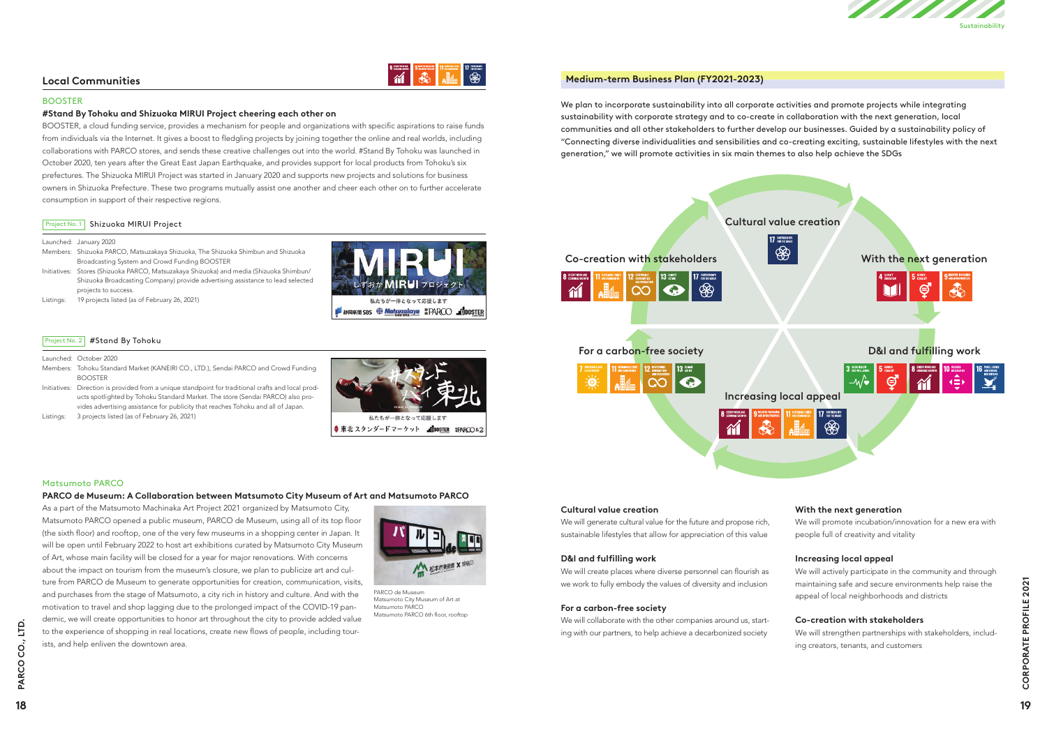### **Medium-term Business Plan (FY2021-2023)**

We plan to incorporate sustainability into all corporate activities and promote projects while integrating sustainability with corporate strategy and to co-create in collaboration with the next generation, local communities and all other stakeholders to further develop our businesses. Guided by a sustainability policy of "Connecting diverse individualities and sensibilities and co-creating exciting, sustainable lifestyles with the next generation," we will promote activities in six main themes to also help achieve the SDGs

## **Local Communities**



#### BOOSTER

#### **#Stand By Tohoku and Shizuoka MIRUI Project cheering each other on**

BOOSTER, a cloud funding service, provides a mechanism for people and organizations with specific aspirations to raise funds from individuals via the Internet. It gives a boost to fledgling projects by joining together the online and real worlds, including collaborations with PARCO stores, and sends these creative challenges out into the world. #Stand By Tohoku was launched in October 2020, ten years after the Great East Japan Earthquake, and provides support for local products from Tohoku's six prefectures. The Shizuoka MIRUI Project was started in January 2020 and supports new projects and solutions for business owners in Shizuoka Prefecture. These two programs mutually assist one another and cheer each other on to further accelerate consumption in support of their respective regions.

#### Project No. 1 Shizuoka MIRUI Project

As a part of the Matsumoto Machinaka Art Project 2021 organized by Matsumoto City, Matsumoto PARCO opened a public museum, PARCO de Museum, using all of its top floor (the sixth floor) and rooftop, one of the very few museums in a shopping center in Japan. It will be open until February 2022 to host art exhibitions curated by Matsumoto City Museum of Art, whose main facility will be closed for a year for major renovations. With concerns about the impact on tourism from the museum's closure, we plan to publicize art and culture from PARCO de Museum to generate opportunities for creation, communication, visits, and purchases from the stage of Matsumoto, a city rich in history and culture. And with the motivation to travel and shop lagging due to the prolonged impact of the COVID-19 pandemic, we will create opportunities to honor art throughout the city to provide added value to the experience of shopping in real locations, create new flows of people, including tourists, and help enliven the downtown area. tue from PARCO de Museum of generate operations, create new flow of people, including tour-<br>and purchase from the data of Matsum oto, a sity rich in history and culture. And with the PARCO de Museum of Arts<br>motivation to t

#### Launched: January 2020

- Members: Shizuoka PARCO, Matsuzakaya Shizuoka, The Shizuoka Shimbun and Shizuoka Broadcasting System and Crowd Funding BOOSTER
- Initiatives: Stores (Shizuoka PARCO, Matsuzakaya Shizuoka) and media (Shizuoka Shimbun/ Shizuoka Broadcasting Company) provide advertising assistance to lead selected projects to success.
- Listings: 19 projects listed (as of February 26, 2021)



### Project No. 2 #Stand By Tohoku

#### Launched: October 2020

- Members: Tohoku Standard Market (KANEIRI CO., LTD.), Sendai PARCO and Crowd Funding BOOSTER
- Initiatives: Direction is provided from a unique standpoint for traditional crafts and local products spotlighted by Tohoku Standard Market. The store (Sendai PARCO) also provides advertising assistance for publicity that reaches Tohoku and all of Japan.
- Listings: 3 projects listed (as of February 26, 2021)





#### Matsumoto PARCO

#### **PARCO de Museum: A Collaboration between Matsumoto City Museum of Art and Matsumoto PARCO**



PARCO de Museum Matsumoto City Museum of Art at Matsumoto PARCO Matsumoto PARCO 6th floor, rooftop





#### **Cultural value creation**

We will generate cultural value for the future and propose rich, sustainable lifestyles that allow for appreciation of this value

#### **D&I and fulfilling work**

We will create places where diverse personnel can flourish as we work to fully embody the values of diversity and inclusion

#### **For a carbon-free society**

We will collaborate with the other companies around us, starting with our partners, to help achieve a decarbonized society

# **With the next generation**

We will promote incubation/innovation for a new era with people full of creativity and vitality

# **Increasing local appeal**

We will actively participate in the community and through maintaining safe and secure environments help raise the appeal of local neighborhoods and districts

# **Co-creation with stakeholders**

We will strengthen partnerships with stakeholders, including creators, tenants, and customers